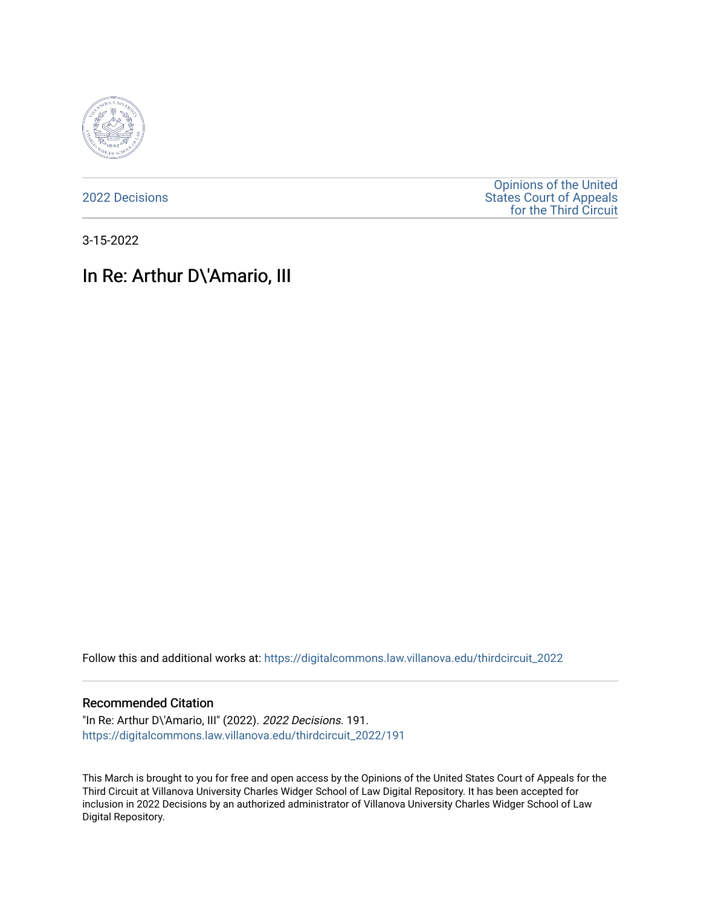

[2022 Decisions](https://digitalcommons.law.villanova.edu/thirdcircuit_2022)

[Opinions of the United](https://digitalcommons.law.villanova.edu/thirdcircuit)  [States Court of Appeals](https://digitalcommons.law.villanova.edu/thirdcircuit)  [for the Third Circuit](https://digitalcommons.law.villanova.edu/thirdcircuit) 

3-15-2022

# In Re: Arthur D\'Amario, III

Follow this and additional works at: [https://digitalcommons.law.villanova.edu/thirdcircuit\\_2022](https://digitalcommons.law.villanova.edu/thirdcircuit_2022?utm_source=digitalcommons.law.villanova.edu%2Fthirdcircuit_2022%2F191&utm_medium=PDF&utm_campaign=PDFCoverPages) 

#### Recommended Citation

"In Re: Arthur D\'Amario, III" (2022). 2022 Decisions. 191. [https://digitalcommons.law.villanova.edu/thirdcircuit\\_2022/191](https://digitalcommons.law.villanova.edu/thirdcircuit_2022/191?utm_source=digitalcommons.law.villanova.edu%2Fthirdcircuit_2022%2F191&utm_medium=PDF&utm_campaign=PDFCoverPages)

This March is brought to you for free and open access by the Opinions of the United States Court of Appeals for the Third Circuit at Villanova University Charles Widger School of Law Digital Repository. It has been accepted for inclusion in 2022 Decisions by an authorized administrator of Villanova University Charles Widger School of Law Digital Repository.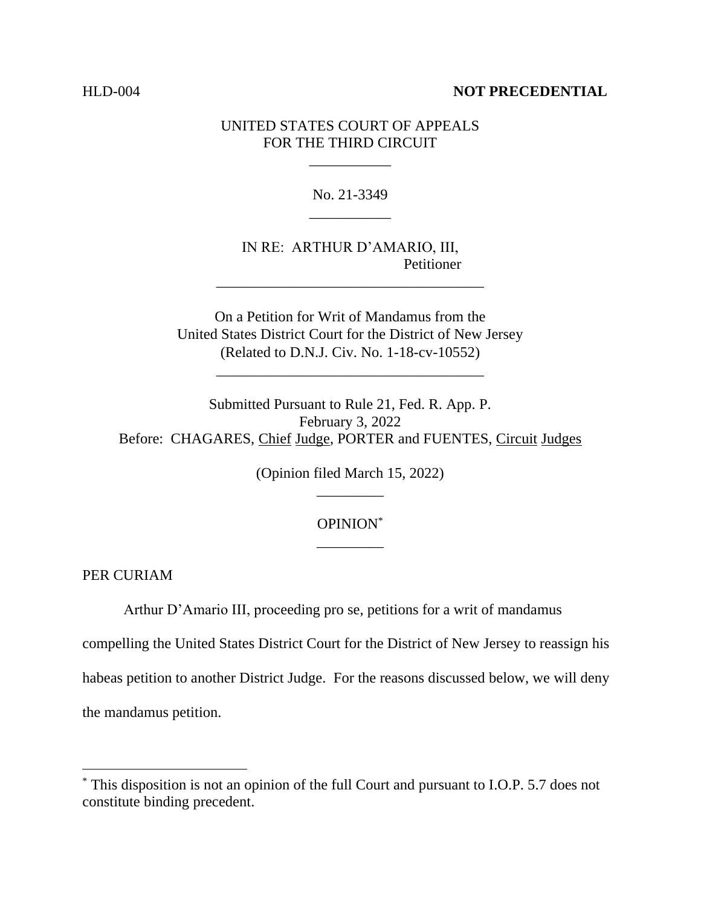### HLD-004 **NOT PRECEDENTIAL**

# UNITED STATES COURT OF APPEALS FOR THE THIRD CIRCUIT

\_\_\_\_\_\_\_\_\_\_\_

No. 21-3349 \_\_\_\_\_\_\_\_\_\_\_

IN RE: ARTHUR D'AMARIO, III, Petitioner

\_\_\_\_\_\_\_\_\_\_\_\_\_\_\_\_\_\_\_\_\_\_\_\_\_\_\_\_\_\_\_\_\_\_\_\_

On a Petition for Writ of Mandamus from the United States District Court for the District of New Jersey (Related to D.N.J. Civ. No. 1-18-cv-10552)

\_\_\_\_\_\_\_\_\_\_\_\_\_\_\_\_\_\_\_\_\_\_\_\_\_\_\_\_\_\_\_\_\_\_\_\_

Submitted Pursuant to Rule 21, Fed. R. App. P. February 3, 2022 Before: CHAGARES, Chief Judge, PORTER and FUENTES, Circuit Judges

> (Opinion filed March 15, 2022) \_\_\_\_\_\_\_\_\_

# OPINION\* \_\_\_\_\_\_\_\_\_

PER CURIAM

Arthur D'Amario III, proceeding pro se, petitions for a writ of mandamus

compelling the United States District Court for the District of New Jersey to reassign his habeas petition to another District Judge. For the reasons discussed below, we will deny the mandamus petition.

<sup>\*</sup> This disposition is not an opinion of the full Court and pursuant to I.O.P. 5.7 does not constitute binding precedent.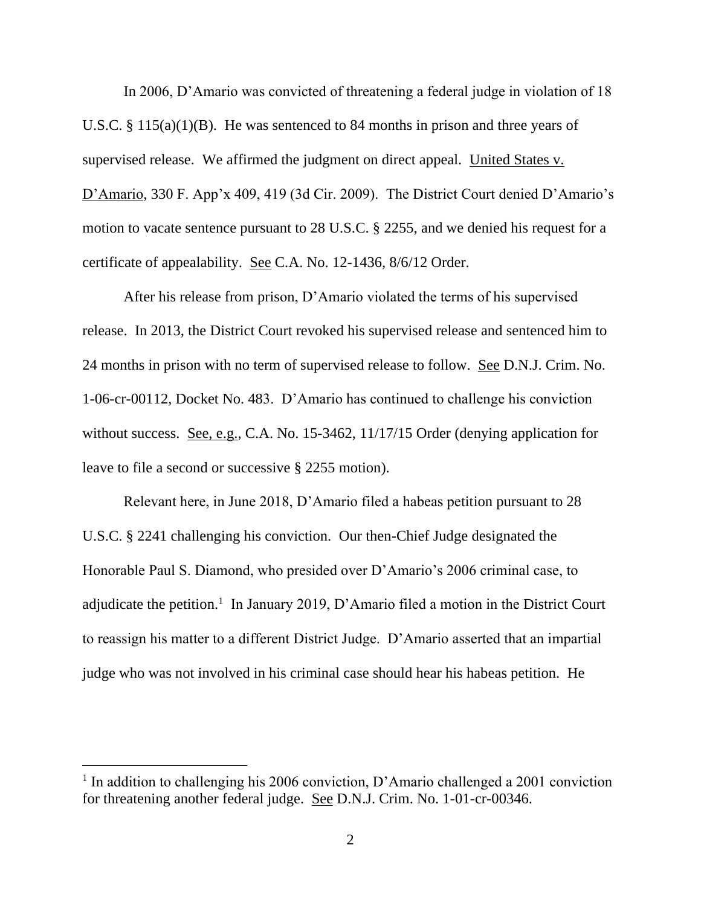In 2006, D'Amario was convicted of threatening a federal judge in violation of 18 U.S.C. § 115(a)(1)(B). He was sentenced to 84 months in prison and three years of supervised release. We affirmed the judgment on direct appeal. United States v. D'Amario, 330 F. App'x 409, 419 (3d Cir. 2009). The District Court denied D'Amario's motion to vacate sentence pursuant to 28 U.S.C. § 2255, and we denied his request for a certificate of appealability. See C.A. No. 12-1436, 8/6/12 Order.

After his release from prison, D'Amario violated the terms of his supervised release. In 2013, the District Court revoked his supervised release and sentenced him to 24 months in prison with no term of supervised release to follow. See D.N.J. Crim. No. 1-06-cr-00112, Docket No. 483. D'Amario has continued to challenge his conviction without success. <u>See, e.g.</u>, C.A. No. 15-3462, 11/17/15 Order (denying application for leave to file a second or successive § 2255 motion).

Relevant here, in June 2018, D'Amario filed a habeas petition pursuant to 28 U.S.C. § 2241 challenging his conviction. Our then-Chief Judge designated the Honorable Paul S. Diamond, who presided over D'Amario's 2006 criminal case, to adjudicate the petition.<sup>1</sup> In January 2019, D'Amario filed a motion in the District Court to reassign his matter to a different District Judge. D'Amario asserted that an impartial judge who was not involved in his criminal case should hear his habeas petition. He

<sup>&</sup>lt;sup>1</sup> In addition to challenging his 2006 conviction, D'Amario challenged a 2001 conviction for threatening another federal judge. See D.N.J. Crim. No. 1-01-cr-00346.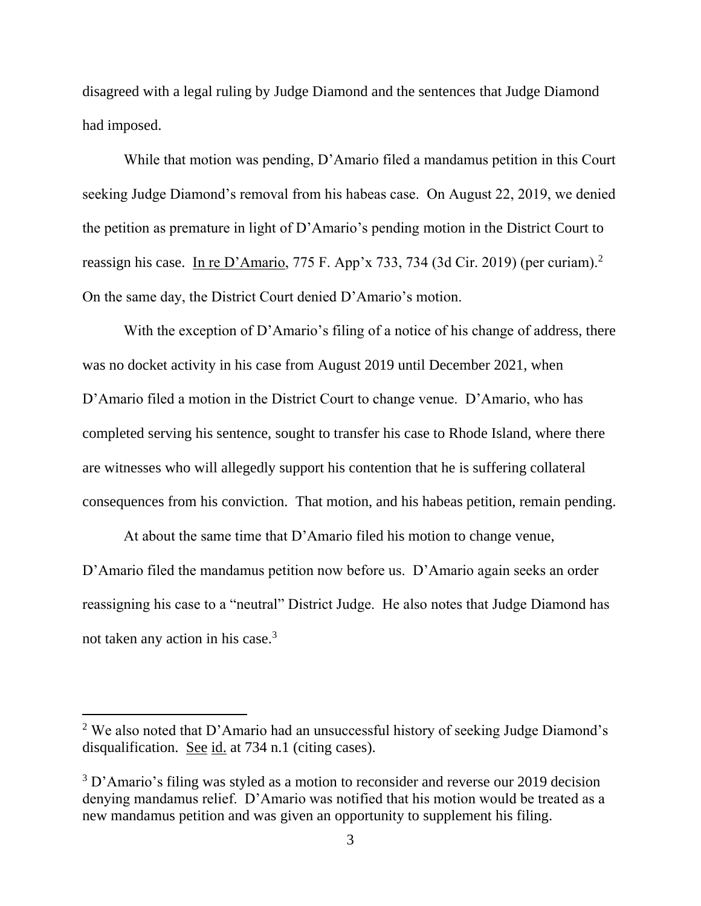disagreed with a legal ruling by Judge Diamond and the sentences that Judge Diamond had imposed.

While that motion was pending, D'Amario filed a mandamus petition in this Court seeking Judge Diamond's removal from his habeas case. On August 22, 2019, we denied the petition as premature in light of D'Amario's pending motion in the District Court to reassign his case. In re D'Amario, 775 F. App'x 733, 734 (3d Cir. 2019) (per curiam).<sup>2</sup> On the same day, the District Court denied D'Amario's motion.

With the exception of D'Amario's filing of a notice of his change of address, there was no docket activity in his case from August 2019 until December 2021, when D'Amario filed a motion in the District Court to change venue. D'Amario, who has completed serving his sentence, sought to transfer his case to Rhode Island, where there are witnesses who will allegedly support his contention that he is suffering collateral consequences from his conviction. That motion, and his habeas petition, remain pending.

At about the same time that D'Amario filed his motion to change venue, D'Amario filed the mandamus petition now before us. D'Amario again seeks an order reassigning his case to a "neutral" District Judge. He also notes that Judge Diamond has not taken any action in his case.<sup>3</sup>

<sup>2</sup> We also noted that D'Amario had an unsuccessful history of seeking Judge Diamond's disqualification. See id. at 734 n.1 (citing cases).

<sup>&</sup>lt;sup>3</sup> D'Amario's filing was styled as a motion to reconsider and reverse our 2019 decision denying mandamus relief. D'Amario was notified that his motion would be treated as a new mandamus petition and was given an opportunity to supplement his filing.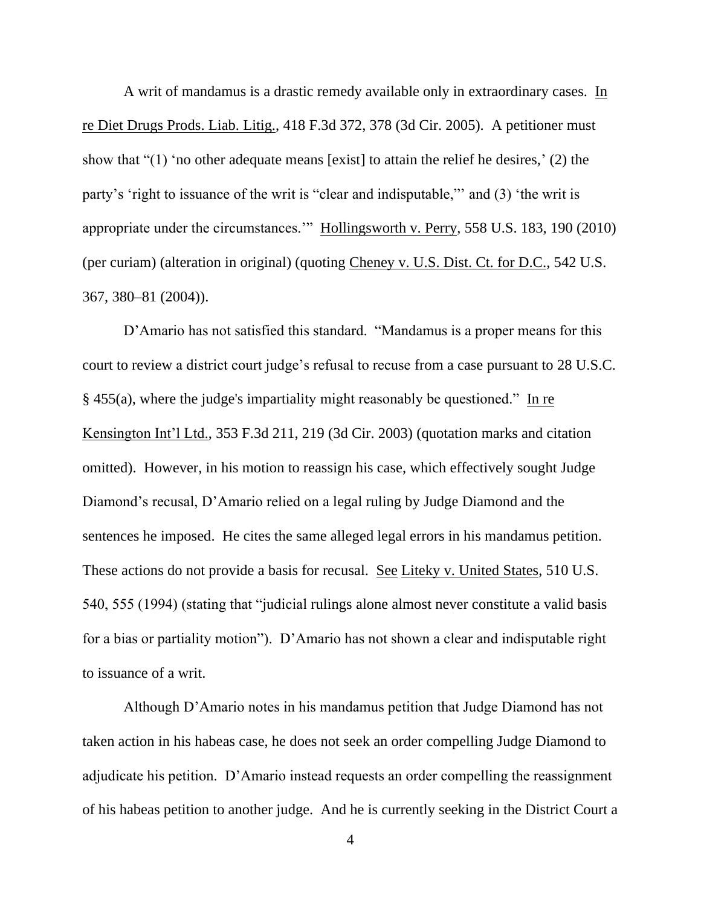A writ of mandamus is a drastic remedy available only in extraordinary cases. In re Diet Drugs Prods. Liab. Litig., 418 F.3d 372, 378 (3d Cir. 2005). A petitioner must show that "(1) 'no other adequate means [exist] to attain the relief he desires,' (2) the party's 'right to issuance of the writ is "clear and indisputable,"' and (3) 'the writ is appropriate under the circumstances.'" Hollingsworth v. Perry, 558 U.S. 183, 190 (2010) (per curiam) (alteration in original) (quoting Cheney v. U.S. Dist. Ct. for D.C., 542 U.S. 367, 380–81 (2004)).

D'Amario has not satisfied this standard. "Mandamus is a proper means for this court to review a district court judge's refusal to recuse from a case pursuant to 28 U.S.C. § 455(a), where the judge's impartiality might reasonably be questioned." In re Kensington Int'l Ltd., 353 F.3d 211, 219 (3d Cir. 2003) (quotation marks and citation omitted). However, in his motion to reassign his case, which effectively sought Judge Diamond's recusal, D'Amario relied on a legal ruling by Judge Diamond and the sentences he imposed. He cites the same alleged legal errors in his mandamus petition. These actions do not provide a basis for recusal. See Liteky v. United States, 510 U.S. 540, 555 (1994) (stating that "judicial rulings alone almost never constitute a valid basis for a bias or partiality motion"). D'Amario has not shown a clear and indisputable right to issuance of a writ.

Although D'Amario notes in his mandamus petition that Judge Diamond has not taken action in his habeas case, he does not seek an order compelling Judge Diamond to adjudicate his petition. D'Amario instead requests an order compelling the reassignment of his habeas petition to another judge. And he is currently seeking in the District Court a